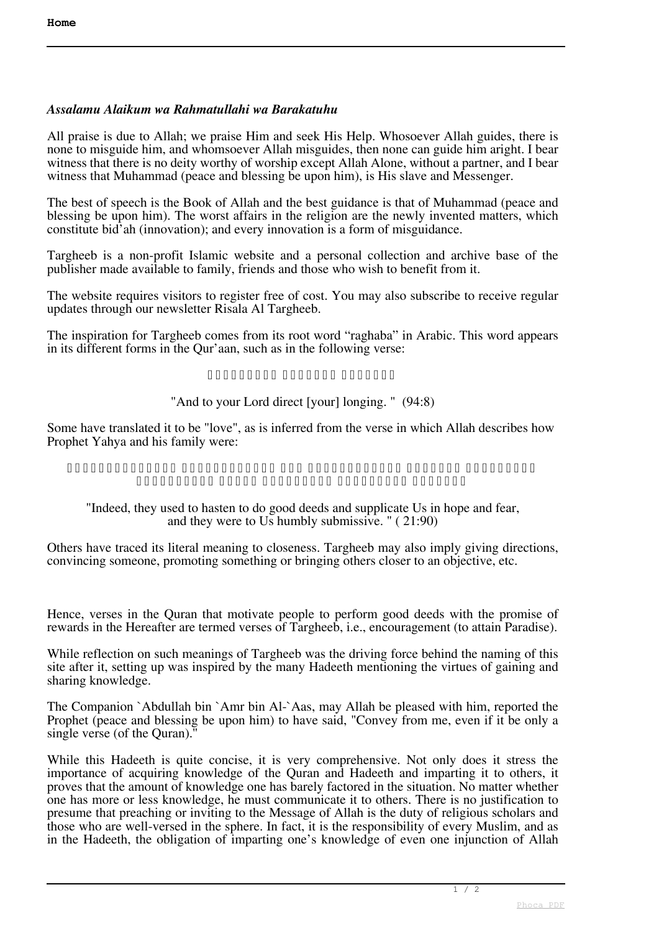## *Assalamu Alaikum wa Rahmatullahi wa Barakatuhu*

All praise is due to Allah; we praise Him and seek His Help. Whosoever Allah guides, there is none to misguide him, and whomsoever Allah misguides, then none can guide him aright. I bear witness that there is no deity worthy of worship except Allah Alone, without a partner, and I bear witness that Muhammad (peace and blessing be upon him), is His slave and Messenger.

The best of speech is the Book of Allah and the best guidance is that of Muhammad (peace and blessing be upon him). The worst affairs in the religion are the newly invented matters, which constitute bid'ah (innovation); and every innovation is a form of misguidance.

Targheeb is a non-profit Islamic website and a personal collection and archive base of the publisher made available to family, friends and those who wish to benefit from it.

The website requires visitors to register free of cost. You may also subscribe to receive regular updates through our newsletter Risala Al Targheeb.

The inspiration for Targheeb comes from its root word "raghaba" in Arabic. This word appears in its different forms in the Qur'aan, such as in the following verse:

## **وَإِلَى رَبِّكَ فَارْغَبْ**

## "And to your Lord direct [your] longing. " (94:8)

Some have translated it to be "love", as is inferred from the verse in which Allah describes how Prophet Yahya and his family were:

**إِنَّهُمْ كَانُوا يُسَارِعُونَ فِي الْخَيْرَاتِ وَيَدْعُونَنَا رَغَبًا وَرَهَبًا وَكَانُوا لَنَا خَاشِعِينَ**

## "Indeed, they used to hasten to do good deeds and supplicate Us in hope and fear, and they were to Us humbly submissive. " ( 21:90)

Others have traced its literal meaning to closeness. Targheeb may also imply giving directions, convincing someone, promoting something or bringing others closer to an objective, etc.

Hence, verses in the Quran that motivate people to perform good deeds with the promise of rewards in the Hereafter are termed verses of Targheeb, i.e., encouragement (to attain Paradise).

While reflection on such meanings of Targheeb was the driving force behind the naming of this site after it, setting up was inspired by the many Hadeeth mentioning the virtues of gaining and sharing knowledge.

The Companion `Abdullah bin `Amr bin Al-`Aas, may Allah be pleased with him, reported the Prophet (peace and blessing be upon him) to have said, "Convey from me, even if it be only a single verse (of the Quran).''

While this Hadeeth is quite concise, it is very comprehensive. Not only does it stress the importance of acquiring knowledge of the Quran and Hadeeth and imparting it to others, it proves that the amount of knowledge one has barely factored in the situation. No matter whether one has more or less knowledge, he must communicate it to others. There is no justification to presume that preaching or inviting to the Message of Allah is the duty of religious scholars and those who are well-versed in the sphere. In fact, it is the responsibility of every Muslim, and as in the Hadeeth, the obligation of imparting one's knowledge of even one injunction of Allah